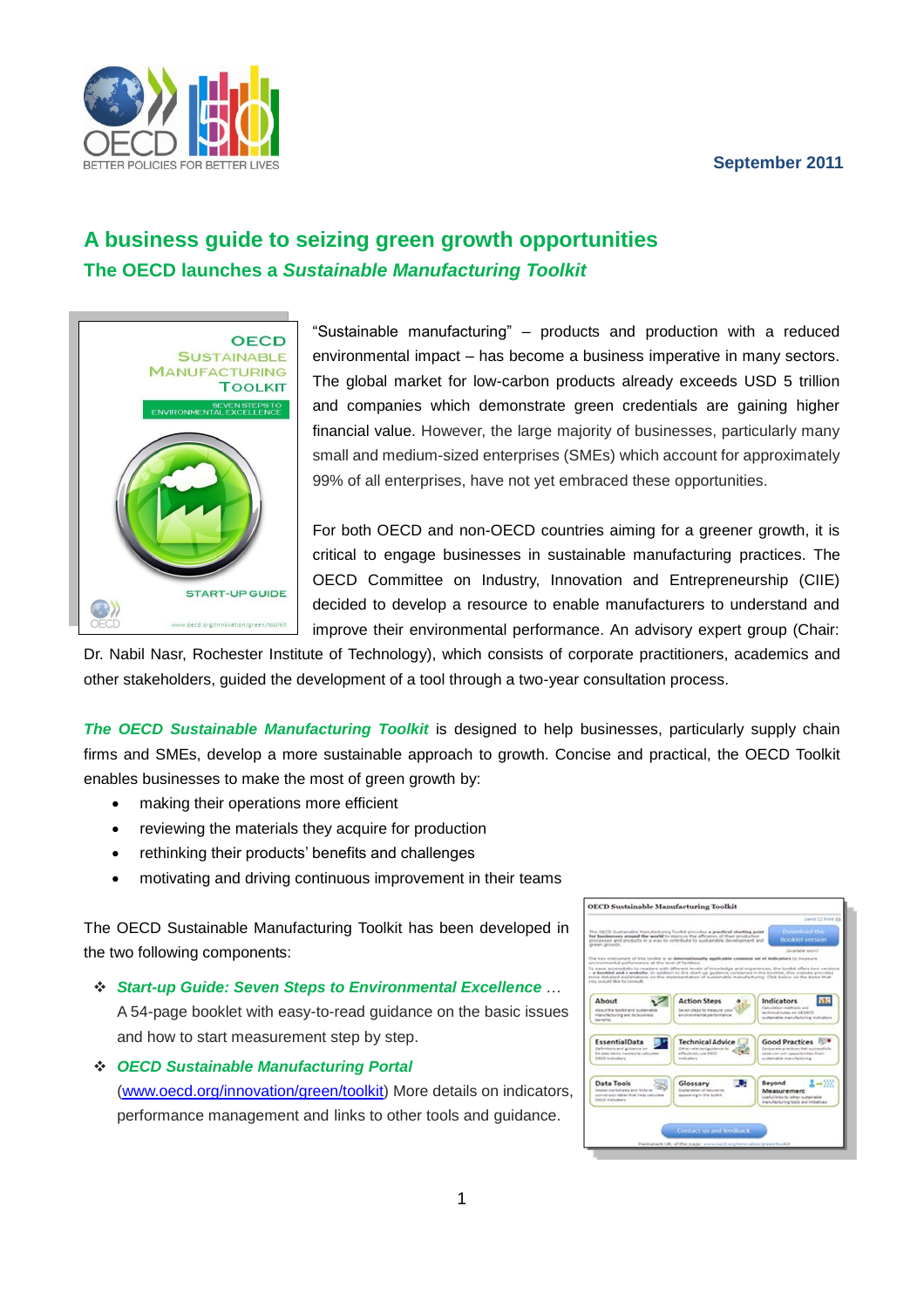## **September 2011**



# **A business guide to seizing green growth opportunities The OECD launches a** *Sustainable Manufacturing Toolkit*



"Sustainable manufacturing" – products and production with a reduced environmental impact – has become a business imperative in many sectors. The global market for low-carbon products already exceeds USD 5 trillion and companies which demonstrate green credentials are gaining higher financial value. However, the large majority of businesses, particularly many small and medium-sized enterprises (SMEs) which account for approximately 99% of all enterprises, have not yet embraced these opportunities.

For both OECD and non-OECD countries aiming for a greener growth, it is critical to engage businesses in sustainable manufacturing practices. The OECD Committee on Industry, Innovation and Entrepreneurship (CIIE) decided to develop a resource to enable manufacturers to understand and improve their environmental performance. An advisory expert group (Chair:

Dr. Nabil Nasr, Rochester Institute of Technology), which consists of corporate practitioners, academics and other stakeholders, guided the development of a tool through a two-year consultation process.

*The OECD Sustainable Manufacturing Toolkit* is designed to help businesses, particularly supply chain firms and SMEs, develop a more sustainable approach to growth. Concise and practical, the OECD Toolkit enables businesses to make the most of green growth by:

- making their operations more efficient
- reviewing the materials they acquire for production
- rethinking their products' benefits and challenges
- motivating and driving continuous improvement in their teams

The OECD Sustainable Manufacturing Toolkit has been developed in the two following components:

- *Start-up Guide: Seven Steps to Environmental Excellence* … A 54-page booklet with easy-to-read guidance on the basic issues and how to start measurement step by step.
- *OECD Sustainable Manufacturing Portal* [\(www.oecd.org/innovation/green/toolkit\)](http://www.oecd.org/innovation/green/toolkit) More details on indicators, performance management and links to other tools and guidance.